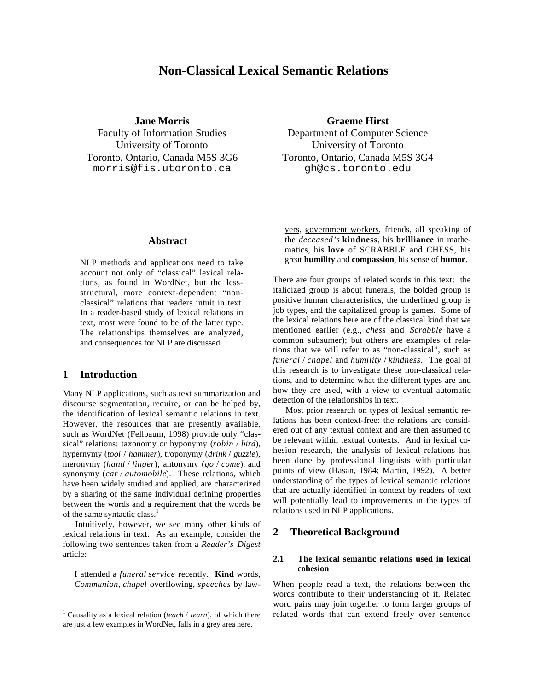# **Non-Classical Lexical Semantic Relations**

**Jane Morris**

Faculty of Information Studies University of Toronto Toronto, Ontario, Canada M5S 3G6 morris@fis.utoronto.ca

**Graeme Hirst**

Department of Computer Science University of Toronto Toronto, Ontario, Canada M5S 3G4 gh@cs.toronto.edu

# **Abstract**

NLP methods and applications need to take account not only of "classical" lexical relations, as found in WordNet, but the lessstructural, more context-dependent "nonclassical" relations that readers intuit in text. In a reader-based study of lexical relations in text, most were found to be of the latter type. The relationships themselves are analyzed, and consequences for NLP are discussed.

# **1 Introduction**

 $\overline{a}$ 

Many NLP applications, such as text summarization and discourse segmentation, require, or can be helped by, the identification of lexical semantic relations in text. However, the resources that are presently available, such as WordNet (Fellbaum, 1998) provide only "classical" relations: taxonomy or hyponymy (*robin* / *bird*), hypernymy (*tool* / *hammer*), troponymy (*drink* / *guzzle*), meronymy (*hand* / *finger*), antonymy (*go* / *come*), and synonymy (*car* / *automobile*). These relations, which have been widely studied and applied, are characterized by a sharing of the same individual defining properties between the words and a requirement that the words be of the same syntactic class.<sup>1</sup>

Intuitively, however, we see many other kinds of lexical relations in text. As an example, consider the following two sentences taken from a *Reader's Digest* article:

I attended a *funeral service* recently. **Kind** words, *Communion*, *chapel* overflowing, *speeches* by lawyers, government workers, friends, all speaking of the *deceased's* **kindness**, his **brilliance** in mathematics, his **love** of SCRABBLE and CHESS, his great **humility** and **compassion**, his sense of **humor**.

There are four groups of related words in this text: the italicized group is about funerals, the bolded group is positive human characteristics, the underlined group is job types, and the capitalized group is games. Some of the lexical relations here are of the classical kind that we mentioned earlier (e.g., *chess* and *Scrabble* have a common subsumer); but others are examples of relations that we will refer to as "non-classical", such as *funeral* / *chapel* and *humility* / *kindness*. The goal of this research is to investigate these non-classical relations, and to determine what the different types are and how they are used, with a view to eventual automatic detection of the relationships in text.

Most prior research on types of lexical semantic relations has been context-free: the relations are considered out of any textual context and are then assumed to be relevant within textual contexts. And in lexical cohesion research, the analysis of lexical relations has been done by professional linguists with particular points of view (Hasan, 1984; Martin, 1992). A better understanding of the types of lexical semantic relations that are actually identified in context by readers of text will potentially lead to improvements in the types of relations used in NLP applications.

# **2 Theoretical Background**

#### **2.1 The lexical semantic relations used in lexical cohesion**

When people read a text, the relations between the words contribute to their understanding of it. Related word pairs may join together to form larger groups of related words that can extend freely over sentence

<sup>1</sup> Causality as a lexical relation (*teach* / *learn*), of which there are just a few examples in WordNet, falls in a grey area here.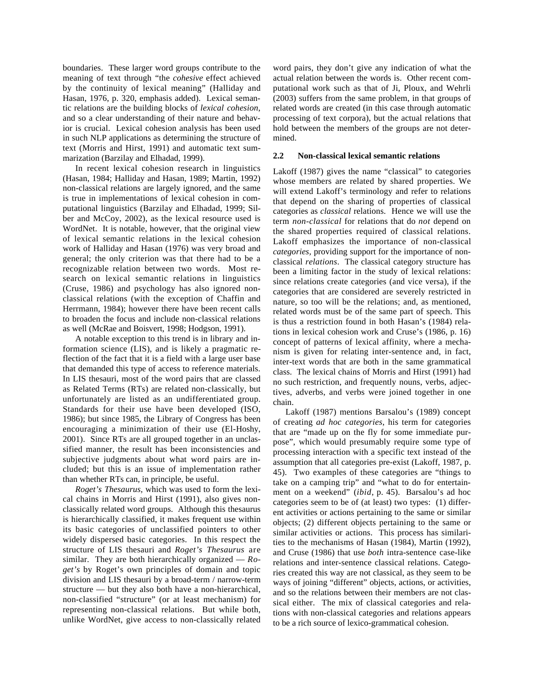boundaries. These larger word groups contribute to the meaning of text through "the *cohesive* effect achieved by the continuity of lexical meaning" (Halliday and Hasan, 1976, p. 320, emphasis added). Lexical semantic relations are the building blocks of *lexical cohesion*, and so a clear understanding of their nature and behavior is crucial. Lexical cohesion analysis has been used in such NLP applications as determining the structure of text (Morris and Hirst, 1991) and automatic text summarization (Barzilay and Elhadad, 1999).

In recent lexical cohesion research in linguistics (Hasan, 1984; Halliday and Hasan, 1989; Martin, 1992) non-classical relations are largely ignored, and the same is true in implementations of lexical cohesion in computational linguistics (Barzilay and Elhadad, 1999; Silber and McCoy, 2002), as the lexical resource used is WordNet. It is notable, however, that the original view of lexical semantic relations in the lexical cohesion work of Halliday and Hasan (1976) was very broad and general; the only criterion was that there had to be a recognizable relation between two words. Most research on lexical semantic relations in linguistics (Cruse, 1986) and psychology has also ignored nonclassical relations (with the exception of Chaffin and Herrmann, 1984); however there have been recent calls to broaden the focus and include non-classical relations as well (McRae and Boisvert, 1998; Hodgson, 1991).

A notable exception to this trend is in library and information science (LIS), and is likely a pragmatic reflection of the fact that it is a field with a large user base that demanded this type of access to reference materials. In LIS thesauri, most of the word pairs that are classed as Related Terms (RTs) are related non-classically, but unfortunately are listed as an undifferentiated group. Standards for their use have been developed (ISO, 1986); but since 1985, the Library of Congress has been encouraging a minimization of their use (El-Hoshy, 2001). Since RTs are all grouped together in an unclassified manner, the result has been inconsistencies and subjective judgments about what word pairs are included; but this is an issue of implementation rather than whether RTs can, in principle, be useful.

*Roget's Thesaurus,* which was used to form the lexical chains in Morris and Hirst (1991), also gives nonclassically related word groups. Although this thesaurus is hierarchically classified, it makes frequent use within its basic categories of unclassified pointers to other widely dispersed basic categories. In this respect the structure of LIS thesauri and *Roget's Thesaurus* are similar. They are both hierarchically organized — *Roget's* by Roget's own principles of domain and topic division and LIS thesauri by a broad-term / narrow-term structure — but they also both have a non-hierarchical, non-classified "structure" (or at least mechanism) for representing non-classical relations. But while both, unlike WordNet, give access to non-classically related

word pairs, they don't give any indication of what the actual relation between the words is. Other recent computational work such as that of Ji, Ploux, and Wehrli (2003) suffers from the same problem, in that groups of related words are created (in this case through automatic processing of text corpora), but the actual relations that hold between the members of the groups are not determined.

## **2.2 Non-classical lexical semantic relations**

Lakoff (1987) gives the name "classical" to categories whose members are related by shared properties. We will extend Lakoff's terminology and refer to relations that depend on the sharing of properties of classical categories as *classical* relations. Hence we will use the term *non-classical* for relations that do *not* depend on the shared properties required of classical relations. Lakoff emphasizes the importance of non-classical *categories,* providing support for the importance of nonclassical *relations*. The classical category structure has been a limiting factor in the study of lexical relations: since relations create categories (and vice versa), if the categories that are considered are severely restricted in nature, so too will be the relations; and, as mentioned, related words must be of the same part of speech. This is thus a restriction found in both Hasan's (1984) relations in lexical cohesion work and Cruse's (1986, p. 16) concept of patterns of lexical affinity, where a mechanism is given for relating inter-sentence and, in fact, inter-text words that are both in the same grammatical class. The lexical chains of Morris and Hirst (1991) had no such restriction, and frequently nouns, verbs, adjectives, adverbs, and verbs were joined together in one chain.

Lakoff (1987) mentions Barsalou's (1989) concept of creating *ad hoc categories*, his term for categories that are "made up on the fly for some immediate purpose", which would presumably require some type of processing interaction with a specific text instead of the assumption that all categories pre-exist (Lakoff, 1987, p. 45). Two examples of these categories are "things to take on a camping trip" and "what to do for entertainment on a weekend" (*ibid*, p. 45). Barsalou's ad hoc categories seem to be of (at least) two types: (1) different activities or actions pertaining to the same or similar objects; (2) different objects pertaining to the same or similar activities or actions. This process has similarities to the mechanisms of Hasan (1984), Martin (1992), and Cruse (1986) that use *both* intra-sentence case-like relations and inter-sentence classical relations. Categories created this way are not classical, as they seem to be ways of joining "different" objects, actions, or activities, and so the relations between their members are not classical either. The mix of classical categories and relations with non-classical categories and relations appears to be a rich source of lexico-grammatical cohesion.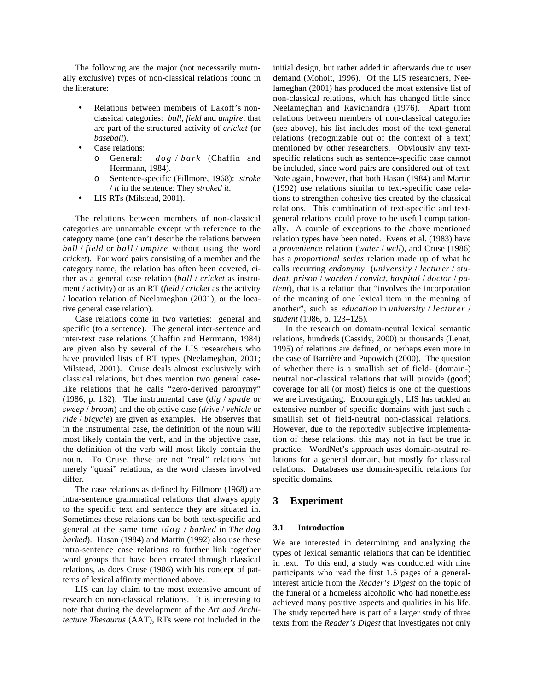The following are the major (not necessarily mutually exclusive) types of non-classical relations found in the literature:

- Relations between members of Lakoff's nonclassical categories: *ball*, *field* and *umpire*, that are part of the structured activity of *cricket* (or *baseball*).
- Case relations:
	- o General: *dog* / *bark* (Chaffin and Herrmann, 1984).
	- o Sentence-specific (Fillmore, 1968): *stroke* / *it* in the sentence: They *stroked it*.
- LIS RTs (Milstead, 2001).

The relations between members of non-classical categories are unnamable except with reference to the category name (one can't describe the relations between *ball* / *field* or *ball* / *umpire* without using the word *cricket*). For word pairs consisting of a member and the category name, the relation has often been covered, either as a general case relation (*ball* / *cricket* as instrument / activity) or as an RT (*field* / *cricket* as the activity / location relation of Neelameghan (2001), or the locative general case relation).

Case relations come in two varieties: general and specific (to a sentence). The general inter-sentence and inter-text case relations (Chaffin and Herrmann, 1984) are given also by several of the LIS researchers who have provided lists of RT types (Neelameghan, 2001; Milstead, 2001). Cruse deals almost exclusively with classical relations, but does mention two general caselike relations that he calls "zero-derived paronymy" (1986, p. 132). The instrumental case (*dig* / *spade* or *sweep* / *broom*) and the objective case (*drive* / *vehicle* or *ride* / *bicycle*) are given as examples. He observes that in the instrumental case, the definition of the noun will most likely contain the verb, and in the objective case, the definition of the verb will most likely contain the noun. To Cruse, these are not "real" relations but merely "quasi" relations, as the word classes involved differ.

The case relations as defined by Fillmore (1968) are intra-sentence grammatical relations that always apply to the specific text and sentence they are situated in. Sometimes these relations can be both text-specific and general at the same time (*dog* / *barked* in *The dog barked*). Hasan (1984) and Martin (1992) also use these intra-sentence case relations to further link together word groups that have been created through classical relations, as does Cruse (1986) with his concept of patterns of lexical affinity mentioned above.

LIS can lay claim to the most extensive amount of research on non-classical relations. It is interesting to note that during the development of the *Art and Architecture Thesaurus* (AAT), RTs were not included in the

initial design, but rather added in afterwards due to user demand (Moholt, 1996). Of the LIS researchers, Neelameghan (2001) has produced the most extensive list of non-classical relations, which has changed little since Neelameghan and Ravichandra (1976). Apart from relations between members of non-classical categories (see above), his list includes most of the text-general relations (recognizable out of the context of a text) mentioned by other researchers. Obviously any textspecific relations such as sentence-specific case cannot be included, since word pairs are considered out of text. Note again, however, that both Hasan (1984) and Martin (1992) use relations similar to text-specific case relations to strengthen cohesive ties created by the classical relations. This combination of text-specific and textgeneral relations could prove to be useful computationally. A couple of exceptions to the above mentioned relation types have been noted. Evens et al. (1983) have a *provenience* relation (*water* / *well*), and Cruse (1986) has a *proportional series* relation made up of what he calls recurring *endonymy* (*university* / *lecturer* / *student*, *prison* / *warden* / *convict*, *hospital* / *doctor* / *patient*), that is a relation that "involves the incorporation of the meaning of one lexical item in the meaning of another", such as *education* in *university* / *lecturer* / *student* (1986, p. 123–125).

In the research on domain-neutral lexical semantic relations, hundreds (Cassidy, 2000) or thousands (Lenat, 1995) of relations are defined, or perhaps even more in the case of Barrière and Popowich (2000). The question of whether there is a smallish set of field- (domain-) neutral non-classical relations that will provide (good) coverage for all (or most) fields is one of the questions we are investigating. Encouragingly, LIS has tackled an extensive number of specific domains with just such a smallish set of field-neutral non-classical relations. However, due to the reportedly subjective implementation of these relations, this may not in fact be true in practice. WordNet's approach uses domain-neutral relations for a general domain, but mostly for classical relations. Databases use domain-specific relations for specific domains.

## **3 Experiment**

#### **3.1 Introduction**

We are interested in determining and analyzing the types of lexical semantic relations that can be identified in text. To this end, a study was conducted with nine participants who read the first 1.5 pages of a generalinterest article from the *Reader's Digest* on the topic of the funeral of a homeless alcoholic who had nonetheless achieved many positive aspects and qualities in his life. The study reported here is part of a larger study of three texts from the *Reader's Digest* that investigates not only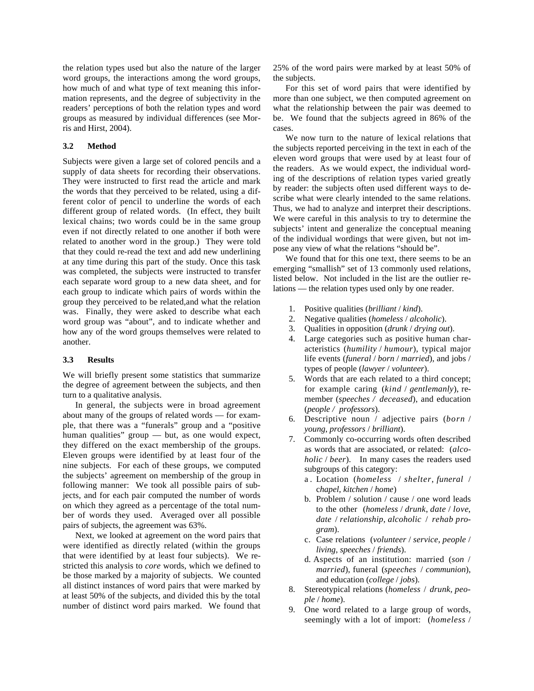the relation types used but also the nature of the larger word groups, the interactions among the word groups, how much of and what type of text meaning this information represents, and the degree of subjectivity in the readers' perceptions of both the relation types and word groups as measured by individual differences (see Morris and Hirst, 2004).

## **3.2 Method**

Subjects were given a large set of colored pencils and a supply of data sheets for recording their observations. They were instructed to first read the article and mark the words that they perceived to be related, using a different color of pencil to underline the words of each different group of related words. (In effect, they built lexical chains; two words could be in the same group even if not directly related to one another if both were related to another word in the group.) They were told that they could re-read the text and add new underlining at any time during this part of the study. Once this task was completed, the subjects were instructed to transfer each separate word group to a new data sheet, and for each group to indicate which pairs of words within the group they perceived to be related,and what the relation was. Finally, they were asked to describe what each word group was "about", and to indicate whether and how any of the word groups themselves were related to another.

## **3.3 Results**

We will briefly present some statistics that summarize the degree of agreement between the subjects, and then turn to a qualitative analysis.

In general, the subjects were in broad agreement about many of the groups of related words — for example, that there was a "funerals" group and a "positive human qualities" group — but, as one would expect, they differed on the exact membership of the groups. Eleven groups were identified by at least four of the nine subjects. For each of these groups, we computed the subjects' agreement on membership of the group in following manner: We took all possible pairs of subjects, and for each pair computed the number of words on which they agreed as a percentage of the total number of words they used. Averaged over all possible pairs of subjects, the agreement was 63%.

Next, we looked at agreement on the word pairs that were identified as directly related (within the groups that were identified by at least four subjects). We restricted this analysis to *core* words, which we defined to be those marked by a majority of subjects. We counted all distinct instances of word pairs that were marked by at least 50% of the subjects, and divided this by the total number of distinct word pairs marked. We found that 25% of the word pairs were marked by at least 50% of the subjects.

For this set of word pairs that were identified by more than one subject, we then computed agreement on what the relationship between the pair was deemed to be. We found that the subjects agreed in 86% of the cases.

We now turn to the nature of lexical relations that the subjects reported perceiving in the text in each of the eleven word groups that were used by at least four of the readers. As we would expect, the individual wording of the descriptions of relation types varied greatly by reader: the subjects often used different ways to describe what were clearly intended to the same relations. Thus, we had to analyze and interpret their descriptions. We were careful in this analysis to try to determine the subjects' intent and generalize the conceptual meaning of the individual wordings that were given, but not impose any view of what the relations "should be".

We found that for this one text, there seems to be an emerging "smallish" set of 13 commonly used relations, listed below. Not included in the list are the outlier relations — the relation types used only by one reader.

- 1. Positive qualities (*brilliant* / *kind*).
- 2. Negative qualities (*homeless* / *alcoholic*).
- 3. Qualities in opposition (*drunk* / *drying out*).
- 4. Large categories such as positive human characteristics (*humility* / *humour*), typical major life events (*funeral* / *born* / *married*), and jobs / types of people (*lawyer* / *volunteer*).
- 5. Words that are each related to a third concept; for example caring (*kind* / *gentlemanly*), remember (*speeches / deceased*), and education (*people / professors*).
- 6. Descriptive noun / adjective pairs (*born* / *young*, *professors* / *brilliant*).
- 7. Commonly co-occurring words often described as words that are associated, or related: (*alcoholic* / *beer*). In many cases the readers used subgroups of this category:
	- a . Location (*homeless* / *shelter*, *funeral* / c*hapel*, *kitchen* / *home*)
	- b. Problem / solution / cause / one word leads to the other (*homeless* / *drunk*, *date* / *love*, *date* / *relationship*, *alcoholic* / *rehab program*).
	- c. Case relations (*volunteer* / *service*, *people* / *living*, *speeches* / *friends*).
	- d. Aspects of an institution: married (*son* / *married*), funeral (*speeches* / *communion*), and education (*college* / *jobs*).
- 8. Stereotypical relations (*homeless* / *drunk, people* / *home*).
- 9. One word related to a large group of words, seemingly with a lot of import: (*homeless* /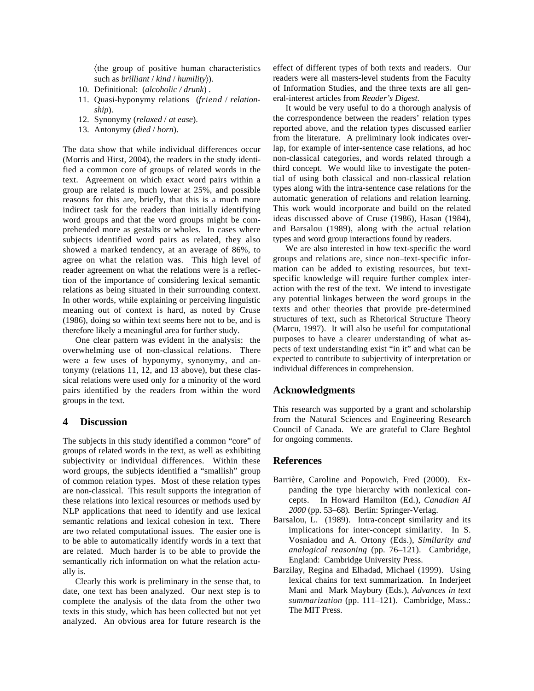-the group of positive human characteristics such as *brilliant* / *kind* / *humility*).

- 10. Definitional: (*alcoholic / drunk*) .
- 11. Quasi-hyponymy relations (*friend* / *relationship*).
- 12. Synonymy (*relaxed* / *at ease*).
- 13. Antonymy (*died* / *born*).

The data show that while individual differences occur (Morris and Hirst, 2004), the readers in the study identified a common core of groups of related words in the text. Agreement on which exact word pairs within a group are related is much lower at 25%, and possible reasons for this are, briefly, that this is a much more indirect task for the readers than initially identifying word groups and that the word groups might be comprehended more as gestalts or wholes. In cases where subjects identified word pairs as related, they also showed a marked tendency, at an average of 86%, to agree on what the relation was. This high level of reader agreement on what the relations were is a reflection of the importance of considering lexical semantic relations as being situated in their surrounding context. In other words, while explaining or perceiving linguistic meaning out of context is hard, as noted by Cruse (1986), doing so within text seems here not to be, and is therefore likely a meaningful area for further study.

One clear pattern was evident in the analysis: the overwhelming use of non-classical relations. There were a few uses of hyponymy, synonymy, and antonymy (relations 11, 12, and 13 above), but these classical relations were used only for a minority of the word pairs identified by the readers from within the word groups in the text.

# **4 Discussion**

The subjects in this study identified a common "core" of groups of related words in the text, as well as exhibiting subjectivity or individual differences. Within these word groups, the subjects identified a "smallish" group of common relation types. Most of these relation types are non-classical. This result supports the integration of these relations into lexical resources or methods used by NLP applications that need to identify and use lexical semantic relations and lexical cohesion in text. There are two related computational issues. The easier one is to be able to automatically identify words in a text that are related. Much harder is to be able to provide the semantically rich information on what the relation actually is.

Clearly this work is preliminary in the sense that, to date, one text has been analyzed. Our next step is to complete the analysis of the data from the other two texts in this study, which has been collected but not yet analyzed. An obvious area for future research is the effect of different types of both texts and readers. Our readers were all masters-level students from the Faculty of Information Studies, and the three texts are all general-interest articles from *Reader's Digest.*

It would be very useful to do a thorough analysis of the correspondence between the readers' relation types reported above, and the relation types discussed earlier from the literature. A preliminary look indicates overlap, for example of inter-sentence case relations, ad hoc non-classical categories, and words related through a third concept. We would like to investigate the potential of using both classical and non-classical relation types along with the intra-sentence case relations for the automatic generation of relations and relation learning. This work would incorporate and build on the related ideas discussed above of Cruse (1986), Hasan (1984), and Barsalou (1989), along with the actual relation types and word group interactions found by readers.

We are also interested in how text-specific the word groups and relations are, since non–text-specific information can be added to existing resources, but textspecific knowledge will require further complex interaction with the rest of the text. We intend to investigate any potential linkages between the word groups in the texts and other theories that provide pre-determined structures of text, such as Rhetorical Structure Theory (Marcu, 1997). It will also be useful for computational purposes to have a clearer understanding of what aspects of text understanding exist "in it" and what can be expected to contribute to subjectivity of interpretation or individual differences in comprehension.

# **Acknowledgments**

This research was supported by a grant and scholarship from the Natural Sciences and Engineering Research Council of Canada. We are grateful to Clare Beghtol for ongoing comments.

## **References**

- Barrière, Caroline and Popowich, Fred (2000). Expanding the type hierarchy with nonlexical concepts. In Howard Hamilton (Ed.), *Canadian AI 2000* (pp*.* 53–68)*.* Berlin: Springer-Verlag.
- Barsalou, L. (1989). Intra-concept similarity and its implications for inter-concept similarity. In S. Vosniadou and A. Ortony (Eds.), *Similarity and analogical reasoning* (pp. 76–121). Cambridge, England: Cambridge University Press.
- Barzilay, Regina and Elhadad, Michael (1999). Using lexical chains for text summarization. In Inderjeet Mani and Mark Maybury (Eds.), *Advances in text summarization* (pp. 111–121). Cambridge, Mass.: The MIT Press.